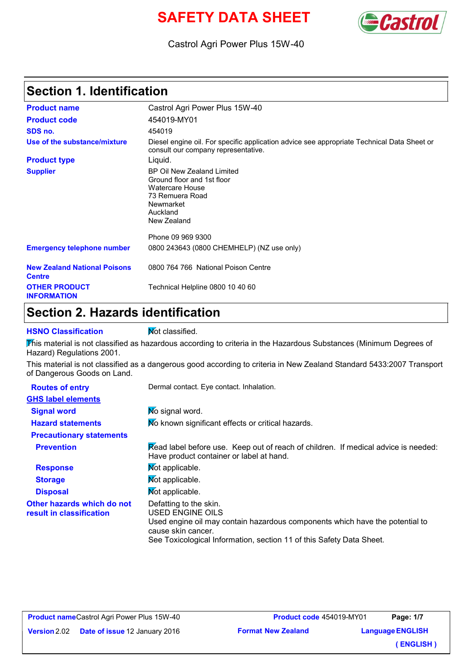# **SAFETY DATA SHEET Castro**



Castrol Agri Power Plus 15W-40

### **Section 1. Identification**

| <b>Product name</b>                                  | Castrol Agri Power Plus 15W-40                                                                                                                |  |
|------------------------------------------------------|-----------------------------------------------------------------------------------------------------------------------------------------------|--|
| <b>Product code</b>                                  | 454019-MY01                                                                                                                                   |  |
| SDS no.                                              | 454019                                                                                                                                        |  |
| Use of the substance/mixture                         | Diesel engine oil. For specific application advice see appropriate Technical Data Sheet or<br>consult our company representative.             |  |
| <b>Product type</b>                                  | Liquid.                                                                                                                                       |  |
| <b>Supplier</b>                                      | BP Oil New Zealand Limited<br>Ground floor and 1st floor<br><b>Watercare House</b><br>73 Remuera Road<br>Newmarket<br>Auckland<br>New Zealand |  |
|                                                      | Phone 09 969 9300                                                                                                                             |  |
| <b>Emergency telephone number</b>                    | 0800 243643 (0800 CHEMHELP) (NZ use only)                                                                                                     |  |
| <b>New Zealand National Poisons</b><br><b>Centre</b> | 0800 764 766 National Poison Centre                                                                                                           |  |
| <b>OTHER PRODUCT</b><br><b>INFORMATION</b>           | Technical Helpline 0800 10 40 60                                                                                                              |  |

### **Section 2. Hazards identification**

**HSNO Classification** Mot classified.

This material is not classified as hazardous according to criteria in the Hazardous Substances (Minimum Degrees of Hazard) Regulations 2001.

This material is not classified as a dangerous good according to criteria in New Zealand Standard 5433:2007 Transport of Dangerous Goods on Land.

| <b>Routes of entry</b>                                 | Dermal contact. Eye contact. Inhalation.                                                                                                                                                                                 |  |
|--------------------------------------------------------|--------------------------------------------------------------------------------------------------------------------------------------------------------------------------------------------------------------------------|--|
| <b>GHS label elements</b>                              |                                                                                                                                                                                                                          |  |
| <b>Signal word</b>                                     | No signal word.                                                                                                                                                                                                          |  |
| <b>Hazard statements</b>                               | No known significant effects or critical hazards.                                                                                                                                                                        |  |
| <b>Precautionary statements</b>                        |                                                                                                                                                                                                                          |  |
| <b>Prevention</b>                                      | Read label before use. Keep out of reach of children. If medical advice is needed:<br>Have product container or label at hand.                                                                                           |  |
| <b>Response</b>                                        | Mot applicable.                                                                                                                                                                                                          |  |
| <b>Storage</b>                                         | Mot applicable.                                                                                                                                                                                                          |  |
| <b>Disposal</b>                                        | Mot applicable.                                                                                                                                                                                                          |  |
| Other hazards which do not<br>result in classification | Defatting to the skin.<br>USED ENGINE OILS<br>Used engine oil may contain hazardous components which have the potential to<br>cause skin cancer.<br>See Toxicological Information, section 11 of this Safety Data Sheet. |  |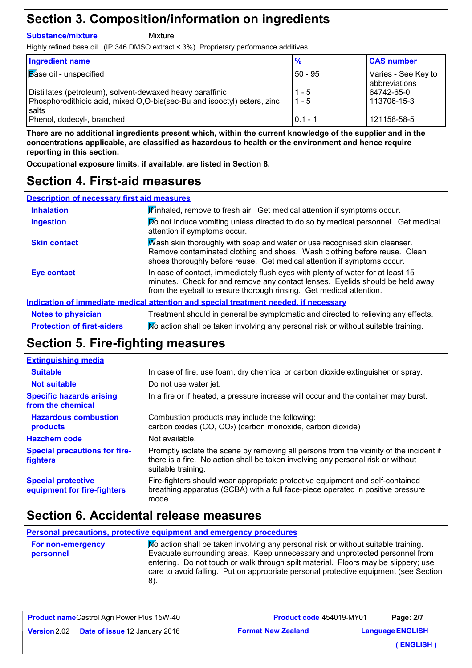### **Section 3. Composition/information on ingredients**

**Substance/mixture**

**Mixture** 

Highly refined base oil (IP 346 DMSO extract < 3%). Proprietary performance additives.

| Ingredient name                                                                  | $\frac{9}{6}$ | <b>CAS number</b>                    |
|----------------------------------------------------------------------------------|---------------|--------------------------------------|
| <b>Base oil - unspecified</b>                                                    | $50 - 95$     | Varies - See Key to<br>abbreviations |
| Distillates (petroleum), solvent-dewaxed heavy paraffinic                        | $1 - 5$       | 64742-65-0                           |
| Phosphorodithioic acid, mixed O,O-bis(sec-Bu and isooctyl) esters, zinc<br>salts | $1 - 5$       | 113706-15-3                          |
| Phenol, dodecyl-, branched                                                       | $0.1 - 1$     | 121158-58-5                          |

**There are no additional ingredients present which, within the current knowledge of the supplier and in the concentrations applicable, are classified as hazardous to health or the environment and hence require reporting in this section.**

**Occupational exposure limits, if available, are listed in Section 8.**

### **Section 4. First-aid measures**

| <b>Description of necessary first aid measures</b> |                                                                                                                                                                                                                                         |  |  |
|----------------------------------------------------|-----------------------------------------------------------------------------------------------------------------------------------------------------------------------------------------------------------------------------------------|--|--|
| <b>Inhalation</b>                                  | If inhaled, remove to fresh air. Get medical attention if symptoms occur.                                                                                                                                                               |  |  |
| <b>Ingestion</b>                                   | Do not induce vomiting unless directed to do so by medical personnel. Get medical<br>attention if symptoms occur.                                                                                                                       |  |  |
| <b>Skin contact</b>                                | Wash skin thoroughly with soap and water or use recognised skin cleanser.<br>Remove contaminated clothing and shoes. Wash clothing before reuse. Clean<br>shoes thoroughly before reuse. Get medical attention if symptoms occur.       |  |  |
| <b>Eye contact</b>                                 | In case of contact, immediately flush eyes with plenty of water for at least 15<br>minutes. Check for and remove any contact lenses. Eyelids should be held away<br>from the eyeball to ensure thorough rinsing. Get medical attention. |  |  |
|                                                    | Indication of immediate medical attention and special treatment needed, if necessary                                                                                                                                                    |  |  |
| <b>Notes to physician</b>                          | Treatment should in general be symptomatic and directed to relieving any effects.                                                                                                                                                       |  |  |
| <b>Protection of first-aiders</b>                  | No action shall be taken involving any personal risk or without suitable training.                                                                                                                                                      |  |  |

### **Section 5. Fire-fighting measures**

| <b>Extinguishing media</b>                               |                                                                                                                                                                                                   |
|----------------------------------------------------------|---------------------------------------------------------------------------------------------------------------------------------------------------------------------------------------------------|
| <b>Suitable</b>                                          | In case of fire, use foam, dry chemical or carbon dioxide extinguisher or spray.                                                                                                                  |
| <b>Not suitable</b>                                      | Do not use water jet.                                                                                                                                                                             |
| <b>Specific hazards arising</b><br>from the chemical     | In a fire or if heated, a pressure increase will occur and the container may burst.                                                                                                               |
| <b>Hazardous combustion</b><br>products                  | Combustion products may include the following:<br>carbon oxides (CO, CO <sub>2</sub> ) (carbon monoxide, carbon dioxide)                                                                          |
| <b>Hazchem code</b>                                      | Not available.                                                                                                                                                                                    |
| <b>Special precautions for fire-</b><br><b>fighters</b>  | Promptly isolate the scene by removing all persons from the vicinity of the incident if<br>there is a fire. No action shall be taken involving any personal risk or without<br>suitable training. |
| <b>Special protective</b><br>equipment for fire-fighters | Fire-fighters should wear appropriate protective equipment and self-contained<br>breathing apparatus (SCBA) with a full face-piece operated in positive pressure<br>mode.                         |

### **Section 6. Accidental release measures**

**Personal precautions, protective equipment and emergency procedures**

**For non-emergency personnel**

No action shall be taken involving any personal risk or without suitable training. Evacuate surrounding areas. Keep unnecessary and unprotected personnel from entering. Do not touch or walk through spilt material. Floors may be slippery; use care to avoid falling. Put on appropriate personal protective equipment (see Section 8).

|                     | <b>Product name</b> Castrol Agri Power Plus 15W-40 |  |
|---------------------|----------------------------------------------------|--|
| <b>Version</b> 2.02 | <b>Date of issue 12 January 2016</b>               |  |

**Format New Zealand Product code** 454019-MY01 **Language ENGLISH Page: 2/7 ( ENGLISH )**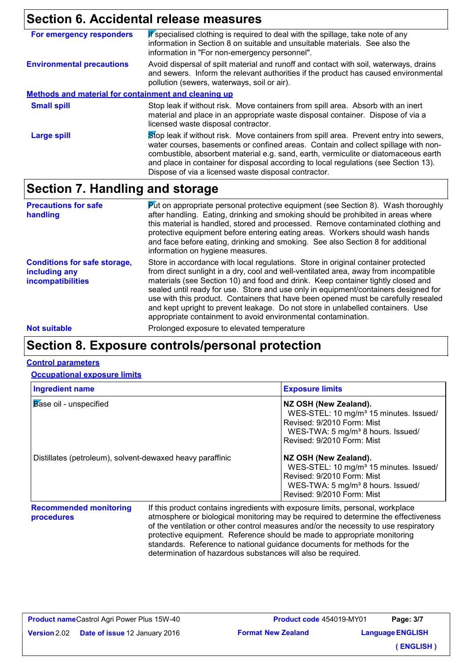### **Section 6. Accidental release measures**

| For emergency responders                                    | If specialised clothing is required to deal with the spillage, take note of any<br>information in Section 8 on suitable and unsuitable materials. See also the<br>information in "For non-emergency personnel".                                                                                                                                                                                                     |
|-------------------------------------------------------------|---------------------------------------------------------------------------------------------------------------------------------------------------------------------------------------------------------------------------------------------------------------------------------------------------------------------------------------------------------------------------------------------------------------------|
| <b>Environmental precautions</b>                            | Avoid dispersal of spilt material and runoff and contact with soil, waterways, drains<br>and sewers. Inform the relevant authorities if the product has caused environmental<br>pollution (sewers, waterways, soil or air).                                                                                                                                                                                         |
| <b>Methods and material for containment and cleaning up</b> |                                                                                                                                                                                                                                                                                                                                                                                                                     |
| <b>Small spill</b>                                          | Stop leak if without risk. Move containers from spill area. Absorb with an inert<br>material and place in an appropriate waste disposal container. Dispose of via a<br>licensed waste disposal contractor.                                                                                                                                                                                                          |
| <b>Large spill</b>                                          | Stop leak if without risk. Move containers from spill area. Prevent entry into sewers,<br>water courses, basements or confined areas. Contain and collect spillage with non-<br>combustible, absorbent material e.g. sand, earth, vermiculite or diatomaceous earth<br>and place in container for disposal according to local regulations (see Section 13).<br>Dispose of via a licensed waste disposal contractor. |

### **Section 7. Handling and storage**

| <b>Precautions for safe</b><br>handling                                          | $\triangleright$ to appropriate personal protective equipment (see Section 8). Wash thoroughly<br>after handling. Eating, drinking and smoking should be prohibited in areas where<br>this material is handled, stored and processed. Remove contaminated clothing and<br>protective equipment before entering eating areas. Workers should wash hands<br>and face before eating, drinking and smoking. See also Section 8 for additional<br>information on hygiene measures.                                                                                                                  |
|----------------------------------------------------------------------------------|------------------------------------------------------------------------------------------------------------------------------------------------------------------------------------------------------------------------------------------------------------------------------------------------------------------------------------------------------------------------------------------------------------------------------------------------------------------------------------------------------------------------------------------------------------------------------------------------|
| <b>Conditions for safe storage,</b><br>including any<br><i>incompatibilities</i> | Store in accordance with local regulations. Store in original container protected<br>from direct sunlight in a dry, cool and well-ventilated area, away from incompatible<br>materials (see Section 10) and food and drink. Keep container tightly closed and<br>sealed until ready for use. Store and use only in equipment/containers designed for<br>use with this product. Containers that have been opened must be carefully resealed<br>and kept upright to prevent leakage. Do not store in unlabelled containers. Use<br>appropriate containment to avoid environmental contamination. |
| <b>Not suitable</b>                                                              | Prolonged exposure to elevated temperature                                                                                                                                                                                                                                                                                                                                                                                                                                                                                                                                                     |

### **Section 8. Exposure controls/personal protection**

#### **Control parameters**

**Occupational exposure limits**

| <b>Ingredient name</b>                                    | <b>Exposure limits</b>                                                                                                                                                                   |
|-----------------------------------------------------------|------------------------------------------------------------------------------------------------------------------------------------------------------------------------------------------|
| <b>Base oil - unspecified</b>                             | NZ OSH (New Zealand).<br>WES-STEL: 10 mg/m <sup>3</sup> 15 minutes. Issued/<br>Revised: 9/2010 Form: Mist<br>WES-TWA: 5 mg/m <sup>3</sup> 8 hours. Issued/<br>Revised: 9/2010 Form: Mist |
| Distillates (petroleum), solvent-dewaxed heavy paraffinic | NZ OSH (New Zealand).<br>WES-STEL: 10 mg/m <sup>3</sup> 15 minutes. Issued/<br>Revised: 9/2010 Form: Mist<br>WES-TWA: 5 mg/m <sup>3</sup> 8 hours. Issued/<br>Revised: 9/2010 Form: Mist |

**Recommended monitoring procedures**

If this product contains ingredients with exposure limits, personal, workplace atmosphere or biological monitoring may be required to determine the effectiveness of the ventilation or other control measures and/or the necessity to use respiratory protective equipment. Reference should be made to appropriate monitoring standards. Reference to national guidance documents for methods for the determination of hazardous substances will also be required.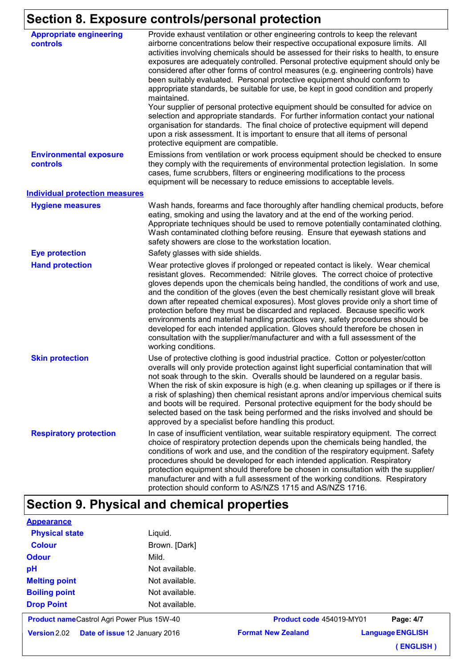## **Section 8. Exposure controls/personal protection**

| <b>Appropriate engineering</b><br><b>controls</b> | Provide exhaust ventilation or other engineering controls to keep the relevant<br>airborne concentrations below their respective occupational exposure limits. All<br>activities involving chemicals should be assessed for their risks to health, to ensure<br>exposures are adequately controlled. Personal protective equipment should only be<br>considered after other forms of control measures (e.g. engineering controls) have<br>been suitably evaluated. Personal protective equipment should conform to<br>appropriate standards, be suitable for use, be kept in good condition and properly<br>maintained.<br>Your supplier of personal protective equipment should be consulted for advice on<br>selection and appropriate standards. For further information contact your national<br>organisation for standards. The final choice of protective equipment will depend<br>upon a risk assessment. It is important to ensure that all items of personal<br>protective equipment are compatible. |
|---------------------------------------------------|---------------------------------------------------------------------------------------------------------------------------------------------------------------------------------------------------------------------------------------------------------------------------------------------------------------------------------------------------------------------------------------------------------------------------------------------------------------------------------------------------------------------------------------------------------------------------------------------------------------------------------------------------------------------------------------------------------------------------------------------------------------------------------------------------------------------------------------------------------------------------------------------------------------------------------------------------------------------------------------------------------------|
| <b>Environmental exposure</b><br><b>controls</b>  | Emissions from ventilation or work process equipment should be checked to ensure<br>they comply with the requirements of environmental protection legislation. In some<br>cases, fume scrubbers, filters or engineering modifications to the process<br>equipment will be necessary to reduce emissions to acceptable levels.                                                                                                                                                                                                                                                                                                                                                                                                                                                                                                                                                                                                                                                                                 |
| <b>Individual protection measures</b>             |                                                                                                                                                                                                                                                                                                                                                                                                                                                                                                                                                                                                                                                                                                                                                                                                                                                                                                                                                                                                               |
| <b>Hygiene measures</b>                           | Wash hands, forearms and face thoroughly after handling chemical products, before<br>eating, smoking and using the lavatory and at the end of the working period.<br>Appropriate techniques should be used to remove potentially contaminated clothing.<br>Wash contaminated clothing before reusing. Ensure that eyewash stations and<br>safety showers are close to the workstation location.                                                                                                                                                                                                                                                                                                                                                                                                                                                                                                                                                                                                               |
| <b>Eye protection</b>                             | Safety glasses with side shields.                                                                                                                                                                                                                                                                                                                                                                                                                                                                                                                                                                                                                                                                                                                                                                                                                                                                                                                                                                             |
| <b>Hand protection</b>                            | Wear protective gloves if prolonged or repeated contact is likely. Wear chemical<br>resistant gloves. Recommended: Nitrile gloves. The correct choice of protective<br>gloves depends upon the chemicals being handled, the conditions of work and use,<br>and the condition of the gloves (even the best chemically resistant glove will break<br>down after repeated chemical exposures). Most gloves provide only a short time of<br>protection before they must be discarded and replaced. Because specific work<br>environments and material handling practices vary, safety procedures should be<br>developed for each intended application. Gloves should therefore be chosen in<br>consultation with the supplier/manufacturer and with a full assessment of the<br>working conditions.                                                                                                                                                                                                               |
| <b>Skin protection</b>                            | Use of protective clothing is good industrial practice. Cotton or polyester/cotton<br>overalls will only provide protection against light superficial contamination that will<br>not soak through to the skin. Overalls should be laundered on a regular basis.<br>When the risk of skin exposure is high (e.g. when cleaning up spillages or if there is<br>a risk of splashing) then chemical resistant aprons and/or impervious chemical suits<br>and boots will be required. Personal protective equipment for the body should be<br>selected based on the task being performed and the risks involved and should be<br>approved by a specialist before handling this product.                                                                                                                                                                                                                                                                                                                            |
| <b>Respiratory protection</b>                     | In case of insufficient ventilation, wear suitable respiratory equipment. The correct<br>choice of respiratory protection depends upon the chemicals being handled, the<br>conditions of work and use, and the condition of the respiratory equipment. Safety<br>procedures should be developed for each intended application. Respiratory<br>protection equipment should therefore be chosen in consultation with the supplier/<br>manufacturer and with a full assessment of the working conditions. Respiratory<br>protection should conform to AS/NZS 1715 and AS/NZS 1716.                                                                                                                                                                                                                                                                                                                                                                                                                               |

# **Section 9. Physical and chemical properties**

**Appearance**

| Version 2.02                                      | <b>Date of issue 12 January 2016</b> | <b>Format New Zealand</b> | <b>Language ENGLISH</b><br><b>ENGLISH</b> ) |
|---------------------------------------------------|--------------------------------------|---------------------------|---------------------------------------------|
| <b>Product nameCastrol Agri Power Plus 15W-40</b> |                                      | Product code 454019-MY01  | Page: 4/7                                   |
| <b>Drop Point</b>                                 | Not available.                       |                           |                                             |
| <b>Boiling point</b>                              | Not available.                       |                           |                                             |
| <b>Melting point</b>                              | Not available.                       |                           |                                             |
| pH                                                | Not available.                       |                           |                                             |
| <b>Odour</b>                                      | Mild.                                |                           |                                             |
| <b>Colour</b>                                     | Brown. [Dark]                        |                           |                                             |
| <b>Physical state</b>                             | Liquid.                              |                           |                                             |
| <b>Appearance</b>                                 |                                      |                           |                                             |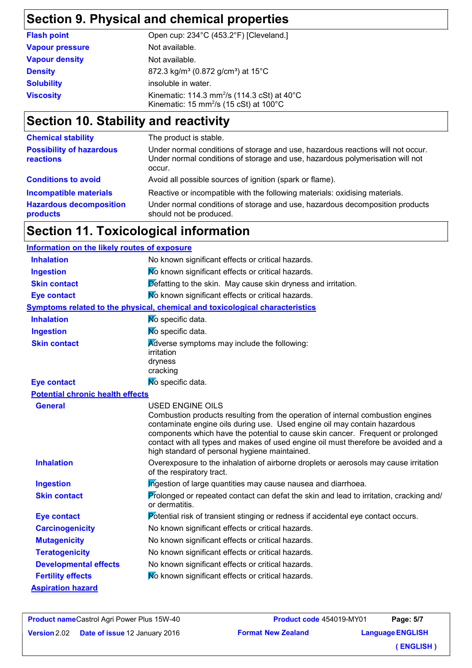### **Section 9. Physical and chemical properties**

| <b>Flash point</b>     | Open cup: 234°C (453.2°F) [Cleveland.]                                                                                  |
|------------------------|-------------------------------------------------------------------------------------------------------------------------|
| <b>Vapour pressure</b> | Not available.                                                                                                          |
| <b>Vapour density</b>  | Not available.                                                                                                          |
| <b>Density</b>         | 872.3 kg/m <sup>3</sup> (0.872 g/cm <sup>3</sup> ) at 15 <sup>°</sup> C                                                 |
| <b>Solubility</b>      | insoluble in water.                                                                                                     |
| <b>Viscosity</b>       | Kinematic: 114.3 mm <sup>2</sup> /s (114.3 cSt) at $40^{\circ}$ C<br>Kinematic: 15 mm <sup>2</sup> /s (15 cSt) at 100°C |

# **Section 10. Stability and reactivity**

| Under normal conditions of storage and use, hazardous reactions will not occur.<br>Under normal conditions of storage and use, hazardous polymerisation will not                       |
|----------------------------------------------------------------------------------------------------------------------------------------------------------------------------------------|
| Avoid all possible sources of ignition (spark or flame).                                                                                                                               |
| Reactive or incompatible with the following materials: oxidising materials.<br>Under normal conditions of storage and use, hazardous decomposition products<br>should not be produced. |
|                                                                                                                                                                                        |

### **Section 11. Toxicological information**

| Information on the likely routes of exposure |                                                                                                                                                                                                                                                                                                                                                                                                                    |  |  |
|----------------------------------------------|--------------------------------------------------------------------------------------------------------------------------------------------------------------------------------------------------------------------------------------------------------------------------------------------------------------------------------------------------------------------------------------------------------------------|--|--|
| <b>Inhalation</b>                            | No known significant effects or critical hazards.                                                                                                                                                                                                                                                                                                                                                                  |  |  |
| <b>Ingestion</b>                             | No known significant effects or critical hazards.                                                                                                                                                                                                                                                                                                                                                                  |  |  |
| <b>Skin contact</b>                          | Defatting to the skin. May cause skin dryness and irritation.                                                                                                                                                                                                                                                                                                                                                      |  |  |
| <b>Eye contact</b>                           | No known significant effects or critical hazards.                                                                                                                                                                                                                                                                                                                                                                  |  |  |
|                                              | <b>Symptoms related to the physical, chemical and toxicological characteristics</b>                                                                                                                                                                                                                                                                                                                                |  |  |
| <b>Inhalation</b>                            | No specific data.                                                                                                                                                                                                                                                                                                                                                                                                  |  |  |
| <b>Ingestion</b>                             | No specific data.                                                                                                                                                                                                                                                                                                                                                                                                  |  |  |
| <b>Skin contact</b>                          | Adverse symptoms may include the following:<br>irritation<br>dryness<br>cracking                                                                                                                                                                                                                                                                                                                                   |  |  |
| <b>Eye contact</b>                           | No specific data.                                                                                                                                                                                                                                                                                                                                                                                                  |  |  |
| <b>Potential chronic health effects</b>      |                                                                                                                                                                                                                                                                                                                                                                                                                    |  |  |
| <b>General</b>                               | <b>USED ENGINE OILS</b><br>Combustion products resulting from the operation of internal combustion engines<br>contaminate engine oils during use. Used engine oil may contain hazardous<br>components which have the potential to cause skin cancer. Frequent or prolonged<br>contact with all types and makes of used engine oil must therefore be avoided and a<br>high standard of personal hygiene maintained. |  |  |
| <b>Inhalation</b>                            | Overexposure to the inhalation of airborne droplets or aerosols may cause irritation<br>of the respiratory tract.                                                                                                                                                                                                                                                                                                  |  |  |
| <b>Ingestion</b>                             | Ingestion of large quantities may cause nausea and diarrhoea.                                                                                                                                                                                                                                                                                                                                                      |  |  |
| <b>Skin contact</b>                          | Prolonged or repeated contact can defat the skin and lead to irritation, cracking and/<br>or dermatitis.                                                                                                                                                                                                                                                                                                           |  |  |
| <b>Eye contact</b>                           | Potential risk of transient stinging or redness if accidental eye contact occurs.                                                                                                                                                                                                                                                                                                                                  |  |  |
| <b>Carcinogenicity</b>                       | No known significant effects or critical hazards.                                                                                                                                                                                                                                                                                                                                                                  |  |  |
| <b>Mutagenicity</b>                          | No known significant effects or critical hazards.                                                                                                                                                                                                                                                                                                                                                                  |  |  |
| <b>Teratogenicity</b>                        | No known significant effects or critical hazards.                                                                                                                                                                                                                                                                                                                                                                  |  |  |
| <b>Developmental effects</b>                 | No known significant effects or critical hazards.                                                                                                                                                                                                                                                                                                                                                                  |  |  |
| <b>Fertility effects</b>                     | No known significant effects or critical hazards.                                                                                                                                                                                                                                                                                                                                                                  |  |  |
| <b>Aspiration hazard</b>                     |                                                                                                                                                                                                                                                                                                                                                                                                                    |  |  |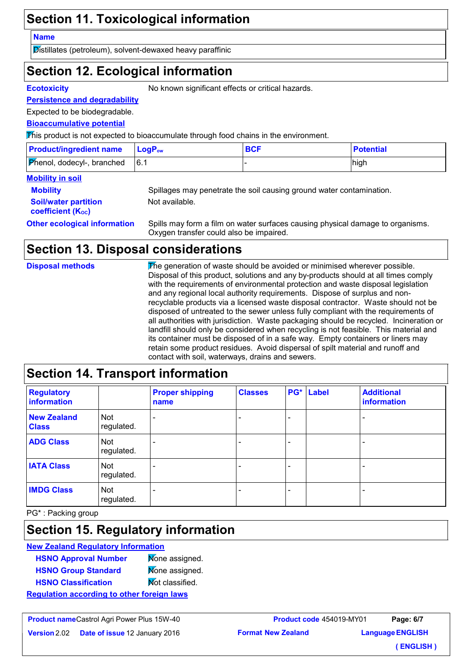### **Section 11. Toxicological information**

#### **Name**

Distillates (petroleum), solvent-dewaxed heavy paraffinic

### **Section 12. Ecological information**

**Ecotoxicity** No known significant effects or critical hazards.

#### **Persistence and degradability**

Expected to be biodegradable.

#### **Bioaccumulative potential**

This product is not expected to bioaccumulate through food chains in the environment.

| <b>Product/ingredient name</b>    | <b>LogP</b> <sub>ow</sub> | <b>BCF</b> | <b>Potential</b> |
|-----------------------------------|---------------------------|------------|------------------|
| <b>Phenol, dodecyl-, branched</b> | 16.1                      |            | high             |

### **Mobility in soil**

| <b>Mobility</b>             |  |
|-----------------------------|--|
| <b>Soil/water partition</b> |  |
| <b>coefficient (Koc)</b>    |  |

Spillages may penetrate the soil causing ground water contamination. Not available.

**Other ecological information** Spills may form a film on water surfaces causing physical damage to organisms. Oxygen transfer could also be impaired.

### **Section 13. Disposal considerations**

| <b>Disposal methods</b> | The generation of waste should be avoided or minimised wherever possible.<br>Disposal of this product, solutions and any by-products should at all times comply<br>with the requirements of environmental protection and waste disposal legislation<br>and any regional local authority requirements. Dispose of surplus and non-<br>recyclable products via a licensed waste disposal contractor. Waste should not be<br>disposed of untreated to the sewer unless fully compliant with the requirements of<br>all authorities with jurisdiction. Waste packaging should be recycled. Incineration or<br>landfill should only be considered when recycling is not feasible. This material and<br>its container must be disposed of in a safe way. Empty containers or liners may<br>retain some product residues. Avoid dispersal of spilt material and runoff and |
|-------------------------|---------------------------------------------------------------------------------------------------------------------------------------------------------------------------------------------------------------------------------------------------------------------------------------------------------------------------------------------------------------------------------------------------------------------------------------------------------------------------------------------------------------------------------------------------------------------------------------------------------------------------------------------------------------------------------------------------------------------------------------------------------------------------------------------------------------------------------------------------------------------|
|                         | contact with soil, waterways, drains and sewers.                                                                                                                                                                                                                                                                                                                                                                                                                                                                                                                                                                                                                                                                                                                                                                                                                    |

### **Section 14. Transport information**

| <b>Regulatory</b><br>information   |                          | <b>Proper shipping</b><br>name | <b>Classes</b> | PG* | <b>Label</b> | <b>Additional</b><br>information |
|------------------------------------|--------------------------|--------------------------------|----------------|-----|--------------|----------------------------------|
| <b>New Zealand</b><br><b>Class</b> | <b>Not</b><br>regulated. |                                |                |     |              |                                  |
| <b>ADG Class</b>                   | <b>Not</b><br>regulated. | $\overline{\phantom{a}}$       |                |     |              |                                  |
| <b>IATA Class</b>                  | <b>Not</b><br>regulated. |                                |                |     |              |                                  |
| <b>IMDG Class</b>                  | <b>Not</b><br>regulated. | <b>11</b>                      |                | -   |              |                                  |

PG\* : Packing group

### **Section 15. Regulatory information**

#### **New Zealand Regulatory Information**

| <b>HSNO Approval Number</b>                       | Mone assigned.  |  |
|---------------------------------------------------|-----------------|--|
| <b>HSNO Group Standard</b>                        | Mone assigned.  |  |
| <b>HSNO Classification</b>                        | Mot classified. |  |
| <b>Requlation according to other foreign laws</b> |                 |  |

**Product name** Castrol Agri Power Plus 15W-40

**Version** 2.02 **Date of issue** 12 Janua

**Format New Zealand Product code** 454019-MY01 **Language ENGLISH Page: 6/7**